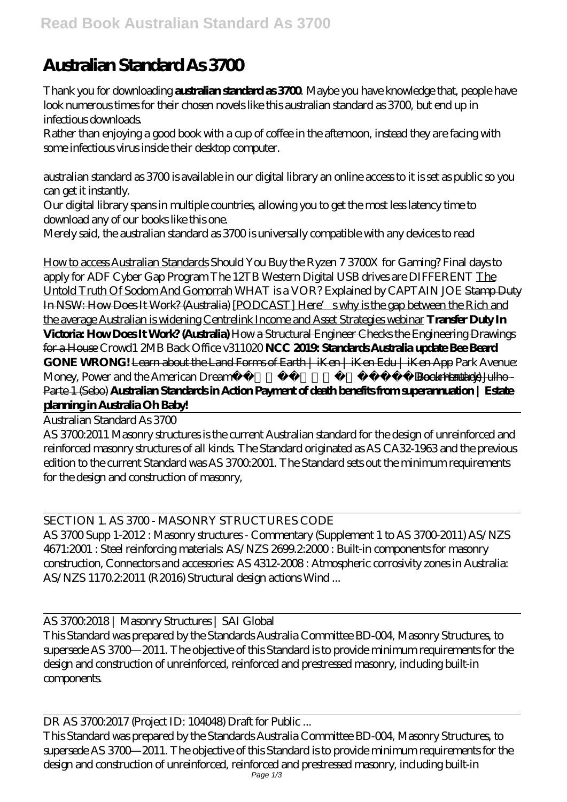## **Australian Standard As 3700**

Thank you for downloading **australian standard as 3700**. Maybe you have knowledge that, people have look numerous times for their chosen novels like this australian standard as 3700, but end up in infectious downloads.

Rather than enjoying a good book with a cup of coffee in the afternoon, instead they are facing with some infectious virus inside their desktop computer.

australian standard as 3700 is available in our digital library an online access to it is set as public so you can get it instantly.

Our digital library spans in multiple countries, allowing you to get the most less latency time to download any of our books like this one.

Merely said, the australian standard as 3700 is universally compatible with any devices to read

How to access Australian Standards *Should You Buy the Ryzen 7 3700X for Gaming? Final days to apply for ADF Cyber Gap Program The 12TB Western Digital USB drives are DIFFERENT* The Untold Truth Of Sodom And Gomorrah *WHAT is a VOR? Explained by CAPTAIN JOE* Stamp Duty In NSW: How Does It Work? (Australia) [PODCAST] Here's why is the gap between the Rich and the average Australian is widening Centrelink Income and Asset Strategies webinar **Transfer Duty In Victoria: How Does It Work? (Australia)** How a Structural Engineer Checks the Engineering Drawings for a House *Crowd1 2MB Back Office v311020* **NCC 2019: Standards Australia update Bee Beard GONE WRONG!** Learn about the Land Forms of Earth | iKen | iKen Edu | iKen App *Park Avenue: Money, Power and the American Dream⎜WHY POVERTY?⎜(Documentary)* Book Haul de Julho - Parte 1 (Sebo) **Australian Standards in Action Payment of death benefits from superannuation | Estate planning in Australia Oh Baby!**

Australian Standard As 3700

AS 3700:2011 Masonry structures is the current Australian standard for the design of unreinforced and reinforced masonry structures of all kinds. The Standard originated as AS CA32-1963 and the previous edition to the current Standard was AS 3700.2001. The Standard sets out the minimum requirements for the design and construction of masonry,

## SECTION 1. AS 3700 - MASONRY STRUCTURES CODE

AS 3700 Supp 1-2012 : Masonry structures - Commentary (Supplement 1 to AS 3700-2011) AS/NZS 4671:2001 : Steel reinforcing materials: AS/NZS 2699.2:2000 : Built-in components for masonry construction, Connectors and accessories: AS 4312-2008: Atmospheric corrosivity zones in Australia: AS/NZS 1170.2:2011 (R2016) Structural design actions Wind ...

AS 3700:2018 | Masonry Structures | SAI Global

This Standard was prepared by the Standards Australia Committee BD-004, Masonry Structures, to supersede AS 3700—2011. The objective of this Standard is to provide minimum requirements for the design and construction of unreinforced, reinforced and prestressed masonry, including built-in **components** 

DR AS 3700:2017 (Project ID: 104048) Draft for Public ...

This Standard was prepared by the Standards Australia Committee BD-004, Masonry Structures, to supersede AS 3700—2011. The objective of this Standard is to provide minimum requirements for the design and construction of unreinforced, reinforced and prestressed masonry, including built-in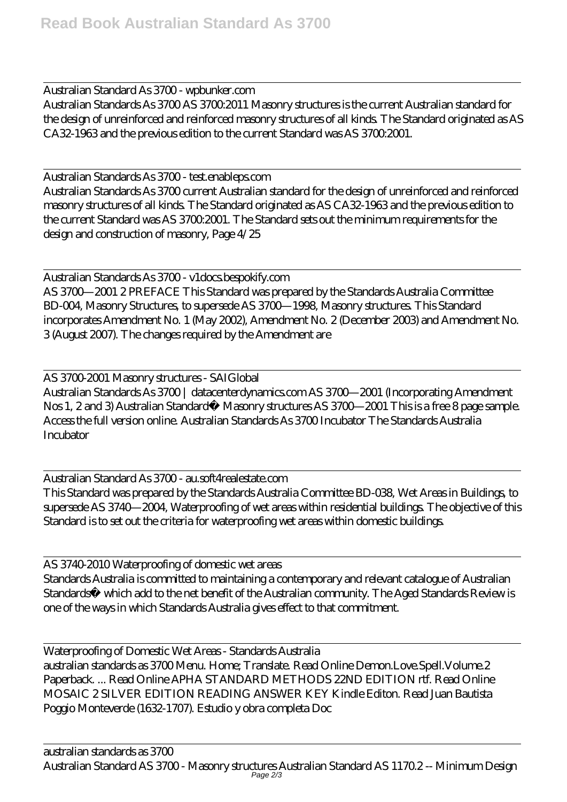Australian Standard As 3700 - wpbunker.com Australian Standards As 3700 AS 3700:2011 Masonry structures is the current Australian standard for the design of unreinforced and reinforced masonry structures of all kinds. The Standard originated as AS CA32-1963 and the previous edition to the current Standard was AS 3700:2001.

Australian Standards As 3700 - test.enableps.com Australian Standards As 3700 current Australian standard for the design of unreinforced and reinforced masonry structures of all kinds. The Standard originated as AS CA32-1963 and the previous edition to the current Standard was AS 3700:2001. The Standard sets out the minimum requirements for the design and construction of masonry, Page 4/25

Australian Standards As 3700 - v1docs.bespokify.com AS 3700—2001 2 PREFACE This Standard was prepared by the Standards Australia Committee BD-004, Masonry Structures, to supersede AS 3700—1998, Masonry structures. This Standard incorporates Amendment No. 1 (May 2002), Amendment No. 2 (December 2003) and Amendment No. 3 (August 2007). The changes required by the Amendment are

AS 3700-2001 Masonry structures - SAIGlobal Australian Standards As 3700 | datacenterdynamics.com AS 3700—2001 (Incorporating Amendment Nos 1, 2 and 3) Australian Standard® Masonry structures AS 3700—2001 This is a free 8 page sample. Access the full version online. Australian Standards As 3700 Incubator The Standards Australia **Incubator** 

Australian Standard As 3700 - au.soft4realestate.com This Standard was prepared by the Standards Australia Committee BD-038, Wet Areas in Buildings, to supersede AS 3740—2004, Waterproofing of wet areas within residential buildings. The objective of this Standard is to set out the criteria for waterproofing wet areas within domestic buildings.

AS 3740-2010 Waterproofing of domestic wet areas Standards Australia is committed to maintaining a contemporary and relevant catalogue of Australian Standards® which add to the net benefit of the Australian community. The Aged Standards Review is one of the ways in which Standards Australia gives effect to that commitment.

Waterproofing of Domestic Wet Areas - Standards Australia australian standards as 3700 Menu. Home; Translate. Read Online Demon.Love.Spell.Volume.2 Paperback. ... Read Online APHA STANDARD METHODS 22ND EDITION rtf. Read Online MOSAIC 2 SILVER EDITION READING ANSWER KEY Kindle Editon. Read Juan Bautista Poggio Monteverde (1632-1707). Estudio y obra completa Doc